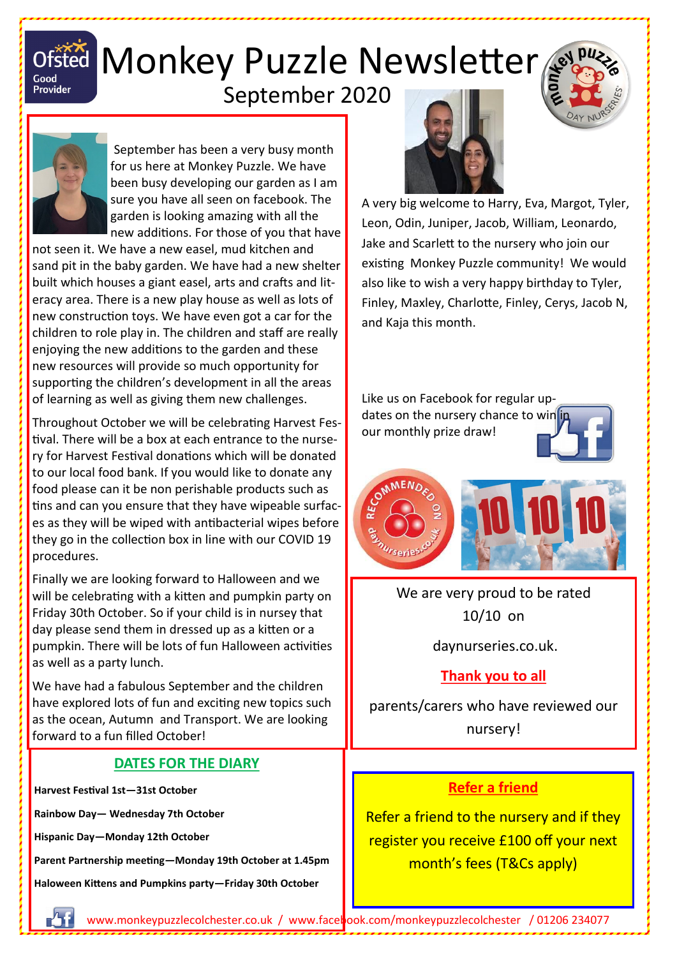

# Ofsted Monkey Puzzle Newsletter

## September 2020



September has been a very busy month for us here at Monkey Puzzle. We have been busy developing our garden as I am sure you have all seen on facebook. The garden is looking amazing with all the new additions. For those of you that have

not seen it. We have a new easel, mud kitchen and sand pit in the baby garden. We have had a new shelter built which houses a giant easel, arts and crafts and literacy area. There is a new play house as well as lots of new construction toys. We have even got a car for the children to role play in. The children and staff are really enjoying the new additions to the garden and these new resources will provide so much opportunity for supporting the children's development in all the areas of learning as well as giving them new challenges.

Throughout October we will be celebrating Harvest Festival. There will be a box at each entrance to the nursery for Harvest Festival donations which will be donated to our local food bank. If you would like to donate any food please can it be non perishable products such as tins and can you ensure that they have wipeable surfaces as they will be wiped with antibacterial wipes before they go in the collection box in line with our COVID 19 procedures.

Finally we are looking forward to Halloween and we will be celebrating with a kitten and pumpkin party on Friday 30th October. So if your child is in nursey that day please send them in dressed up as a kitten or a pumpkin. There will be lots of fun Halloween activities as well as a party lunch.

We have had a fabulous September and the children have explored lots of fun and exciting new topics such as the ocean, Autumn and Transport. We are looking forward to a fun filled October!

#### **DATES FOR THE DIARY**

**Harvest Festival 1st—31st October**

**Rainbow Day— Wednesday 7th October**

**Hispanic Day—Monday 12th October**

**Parent Partnership meeting—Monday 19th October at 1.45pm**

**Haloween Kittens and Pumpkins party—Friday 30th October**



A very big welcome to Harry, Eva, Margot, Tyler, Leon, Odin, Juniper, Jacob, William, Leonardo, Jake and Scarlett to the nursery who join our existing Monkey Puzzle community! We would also like to wish a very happy birthday to Tyler, Finley, Maxley, Charlotte, Finley, Cerys, Jacob N, and Kaja this month.

Like us on Facebook for regular updates on the nursery chance to win in our monthly prize draw!



We are very proud to be rated 10/10 on

daynurseries.co.uk.

#### **Thank you to all**

parents/carers who have reviewed our nursery!

#### **Refer a friend**

Refer a friend to the nursery and if they register you receive £100 off your next month's fees (T&Cs apply)

www.monkeypuzzlecolchester.co.uk / [www.facebook.com/monkeypuzzlecolchester](http://www.facebook.com/monkeypuzzlecolchester) / 01206 234077